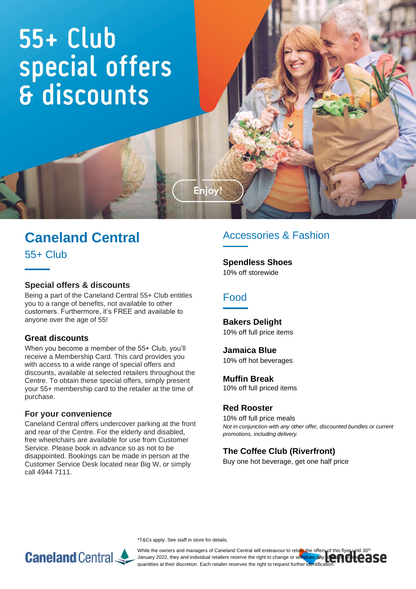# **55+ Club** special offers<br>& discounts

# **Caneland Central**

55+ Club

#### **Special offers & discounts**

Being a part of the Caneland Central 55+ Club entitles you to a range of benefits, not available to other customers. Furthermore, it's FREE and available to anyone over the age of 55!

#### **Great discounts**

When you become a member of the 55+ Club, you'll receive a Membership Card. This card provides you with access to a wide range of special offers and discounts, available at selected retailers throughout the Centre. To obtain these special offers, simply present your 55+ membership card to the retailer at the time of purchase.

#### **For your convenience**

Caneland Central offers undercover parking at the front and rear of the Centre. For the elderly and disabled, free wheelchairs are available for use from Customer Service. Please book in advance so as not to be disappointed. Bookings can be made in person at the Customer Service Desk located near Big W, or simply call 4944 7111.

### Accessories & Fashion

**Spendless Shoes**  10% off storewide

#### Food

Enjoy!

**Bakers Delight** 10% off full price items

**Jamaica Blue** 10% off hot beverages

#### **Muffin Break**

10% off full priced items

#### **Red Rooster**

10% off full price meals *Not in conjunction with any other offer, discounted bundles or current promotions, including delivery.*

#### **The Coffee Club (Riverfront)**

Buy one hot beverage, get one half price



\*T&Cs apply. See staff in store for details.

While the owners and managers of Caneland Central will endeavour to retain the offers of this flyer until 30<sup>th</sup> January 2022, they and individual retailers reserve the right to change or withdraw any **pifers or to limit.** quantities at their discretion. Each retailer reserves the right to request further identification.